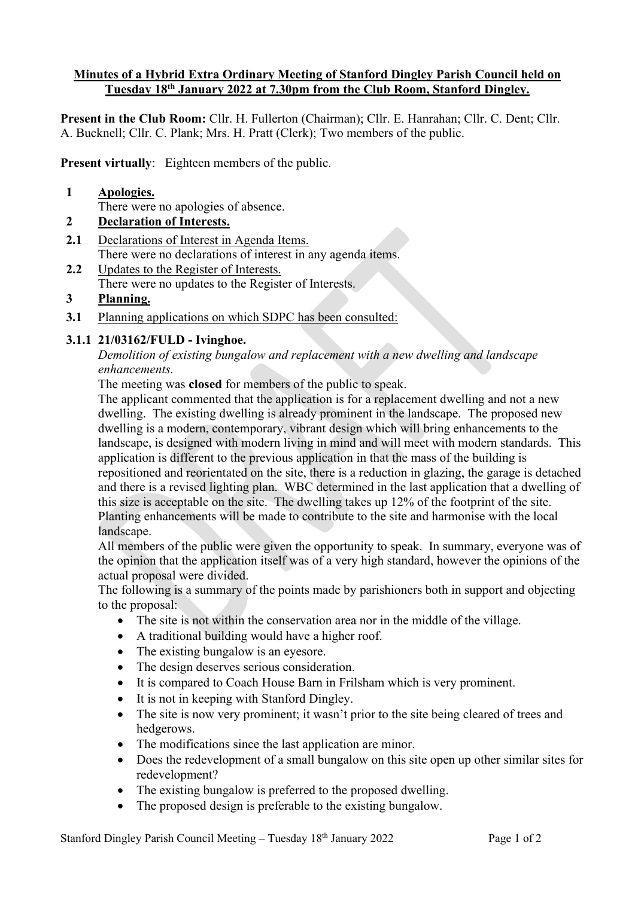### **Minutes of a Hybrid Extra Ordinary Meeting of Stanford Dingley Parish Council held on Tuesday 18th January 2022 at 7.30pm from the Club Room, Stanford Dingley.**

**Present in the Club Room:** Cllr. H. Fullerton (Chairman); Cllr. E. Hanrahan; Cllr. C. Dent; Cllr. A. Bucknell; Cllr. C. Plank; Mrs. H. Pratt (Clerk); Two members of the public.

**Present virtually**: Eighteen members of the public.

#### **1 Apologies.**

There were no apologies of absence.

## **2 Declaration of Interests.**

- **2.1** Declarations of Interest in Agenda Items. There were no declarations of interest in any agenda items.
- 2.2 Updates to the Register of Interests. There were no updates to the Register of Interests.

# **3 Planning.**

**3.1** Planning applications on which SDPC has been consulted:

## **3.1.1 21/03162/FULD - Ivinghoe.**

## *Demolition of existing bungalow and replacement with a new dwelling and landscape enhancements.*

The meeting was **closed** for members of the public to speak.

The applicant commented that the application is for a replacement dwelling and not a new dwelling. The existing dwelling is already prominent in the landscape. The proposed new dwelling is a modern, contemporary, vibrant design which will bring enhancements to the landscape, is designed with modern living in mind and will meet with modern standards. This application is different to the previous application in that the mass of the building is repositioned and reorientated on the site, there is a reduction in glazing, the garage is detached and there is a revised lighting plan. WBC determined in the last application that a dwelling of this size is acceptable on the site. The dwelling takes up 12% of the footprint of the site. Planting enhancements will be made to contribute to the site and harmonise with the local landscape.

All members of the public were given the opportunity to speak. In summary, everyone was of the opinion that the application itself was of a very high standard, however the opinions of the actual proposal were divided.

The following is a summary of the points made by parishioners both in support and objecting to the proposal:

- The site is not within the conservation area nor in the middle of the village.
- A traditional building would have a higher roof.
- The existing bungalow is an eyesore.
- The design deserves serious consideration.
- It is compared to Coach House Barn in Frilsham which is very prominent.
- It is not in keeping with Stanford Dingley.
- The site is now very prominent; it wasn't prior to the site being cleared of trees and hedgerows.
- The modifications since the last application are minor.
- Does the redevelopment of a small bungalow on this site open up other similar sites for redevelopment?
- The existing bungalow is preferred to the proposed dwelling.
- The proposed design is preferable to the existing bungalow.